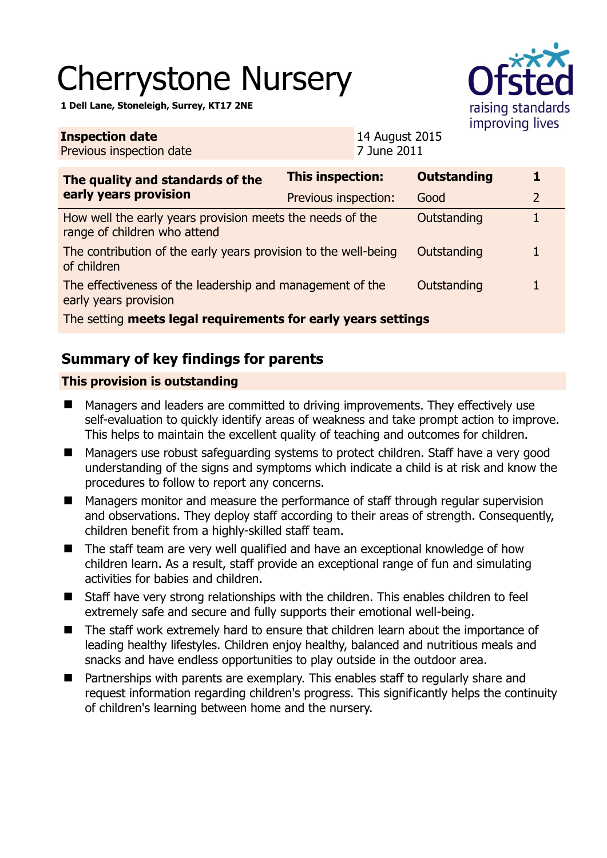# Cherrystone Nursery

**1 Dell Lane, Stoneleigh, Surrey, KT17 2NE** 



| <b>Inspection date</b><br>Previous inspection date                                        | 14 August 2015<br>7 June 2011 |                    |                |
|-------------------------------------------------------------------------------------------|-------------------------------|--------------------|----------------|
| The quality and standards of the<br>early years provision                                 | This inspection:              | <b>Outstanding</b> | 1              |
|                                                                                           | Previous inspection:          | Good               | $\overline{2}$ |
| How well the early years provision meets the needs of the<br>range of children who attend |                               | Outstanding        |                |
| The contribution of the early years provision to the well-being<br>of children            |                               | Outstanding        | 1              |
| The effectiveness of the leadership and management of the<br>early years provision        |                               | Outstanding        |                |
| The setting meets legal requirements for early years settings                             |                               |                    |                |

# **Summary of key findings for parents**

### **This provision is outstanding**

- Managers and leaders are committed to driving improvements. They effectively use self-evaluation to quickly identify areas of weakness and take prompt action to improve. This helps to maintain the excellent quality of teaching and outcomes for children.
- Managers use robust safeguarding systems to protect children. Staff have a very good understanding of the signs and symptoms which indicate a child is at risk and know the procedures to follow to report any concerns.
- Managers monitor and measure the performance of staff through regular supervision and observations. They deploy staff according to their areas of strength. Consequently, children benefit from a highly-skilled staff team.
- The staff team are very well qualified and have an exceptional knowledge of how children learn. As a result, staff provide an exceptional range of fun and simulating activities for babies and children.
- Staff have very strong relationships with the children. This enables children to feel extremely safe and secure and fully supports their emotional well-being.
- The staff work extremely hard to ensure that children learn about the importance of leading healthy lifestyles. Children enjoy healthy, balanced and nutritious meals and snacks and have endless opportunities to play outside in the outdoor area.
- Partnerships with parents are exemplary. This enables staff to regularly share and request information regarding children's progress. This significantly helps the continuity of children's learning between home and the nursery.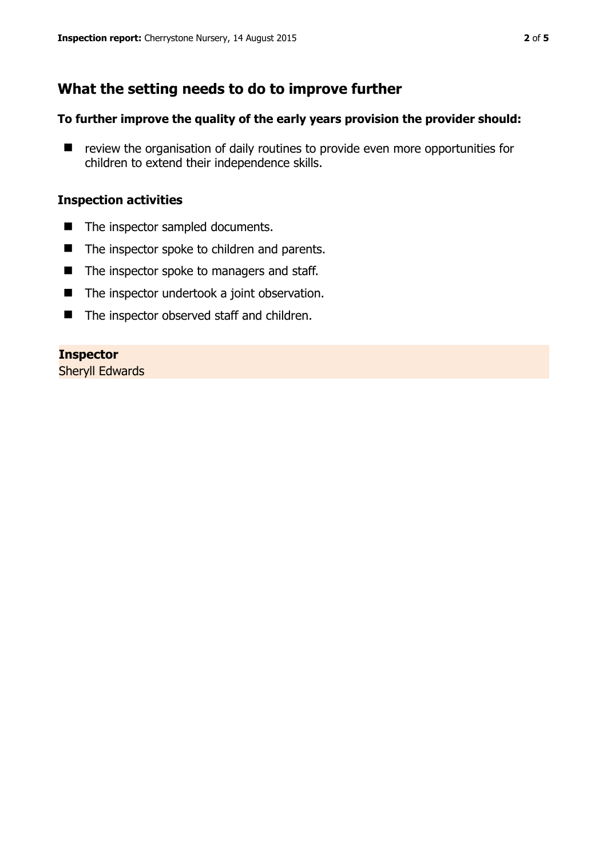## **What the setting needs to do to improve further**

#### **To further improve the quality of the early years provision the provider should:**

■ review the organisation of daily routines to provide even more opportunities for children to extend their independence skills.

#### **Inspection activities**

- The inspector sampled documents.
- The inspector spoke to children and parents.
- The inspector spoke to managers and staff.
- The inspector undertook a joint observation.
- The inspector observed staff and children.

#### **Inspector**

Sheryll Edwards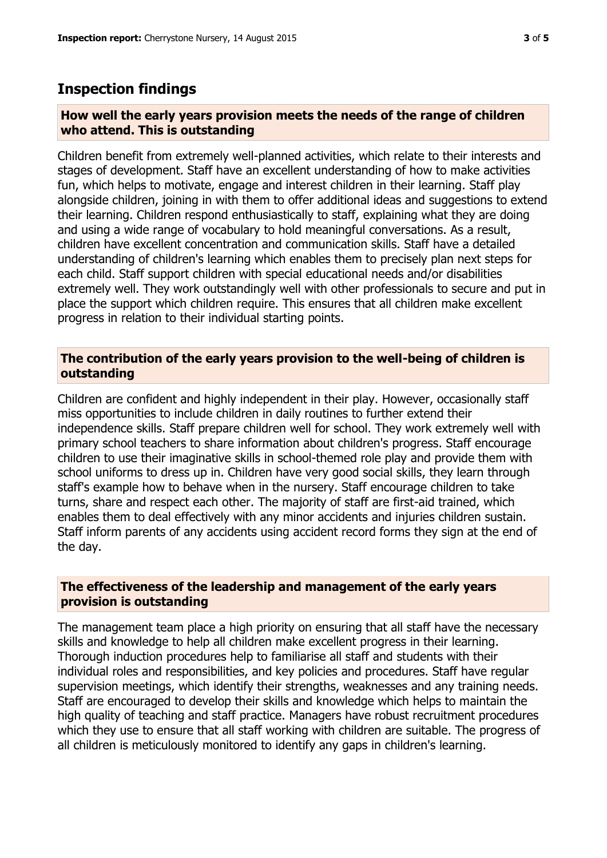## **Inspection findings**

#### **How well the early years provision meets the needs of the range of children who attend. This is outstanding**

Children benefit from extremely well-planned activities, which relate to their interests and stages of development. Staff have an excellent understanding of how to make activities fun, which helps to motivate, engage and interest children in their learning. Staff play alongside children, joining in with them to offer additional ideas and suggestions to extend their learning. Children respond enthusiastically to staff, explaining what they are doing and using a wide range of vocabulary to hold meaningful conversations. As a result, children have excellent concentration and communication skills. Staff have a detailed understanding of children's learning which enables them to precisely plan next steps for each child. Staff support children with special educational needs and/or disabilities extremely well. They work outstandingly well with other professionals to secure and put in place the support which children require. This ensures that all children make excellent progress in relation to their individual starting points.

#### **The contribution of the early years provision to the well-being of children is outstanding**

Children are confident and highly independent in their play. However, occasionally staff miss opportunities to include children in daily routines to further extend their independence skills. Staff prepare children well for school. They work extremely well with primary school teachers to share information about children's progress. Staff encourage children to use their imaginative skills in school-themed role play and provide them with school uniforms to dress up in. Children have very good social skills, they learn through staff's example how to behave when in the nursery. Staff encourage children to take turns, share and respect each other. The majority of staff are first-aid trained, which enables them to deal effectively with any minor accidents and injuries children sustain. Staff inform parents of any accidents using accident record forms they sign at the end of the day.

#### **The effectiveness of the leadership and management of the early years provision is outstanding**

The management team place a high priority on ensuring that all staff have the necessary skills and knowledge to help all children make excellent progress in their learning. Thorough induction procedures help to familiarise all staff and students with their individual roles and responsibilities, and key policies and procedures. Staff have regular supervision meetings, which identify their strengths, weaknesses and any training needs. Staff are encouraged to develop their skills and knowledge which helps to maintain the high quality of teaching and staff practice. Managers have robust recruitment procedures which they use to ensure that all staff working with children are suitable. The progress of all children is meticulously monitored to identify any gaps in children's learning.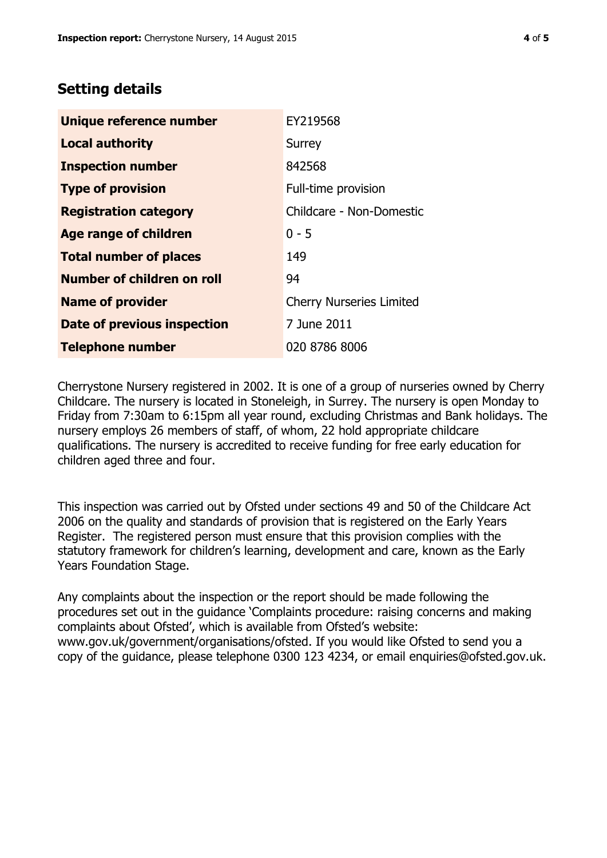## **Setting details**

| Unique reference number       | EY219568                        |
|-------------------------------|---------------------------------|
| <b>Local authority</b>        | Surrey                          |
| <b>Inspection number</b>      | 842568                          |
| <b>Type of provision</b>      | Full-time provision             |
| <b>Registration category</b>  | Childcare - Non-Domestic        |
| Age range of children         | $0 - 5$                         |
| <b>Total number of places</b> | 149                             |
| Number of children on roll    | 94                              |
| <b>Name of provider</b>       | <b>Cherry Nurseries Limited</b> |
| Date of previous inspection   | 7 June 2011                     |
| <b>Telephone number</b>       | 020 8786 8006                   |

Cherrystone Nursery registered in 2002. It is one of a group of nurseries owned by Cherry Childcare. The nursery is located in Stoneleigh, in Surrey. The nursery is open Monday to Friday from 7:30am to 6:15pm all year round, excluding Christmas and Bank holidays. The nursery employs 26 members of staff, of whom, 22 hold appropriate childcare qualifications. The nursery is accredited to receive funding for free early education for children aged three and four.

This inspection was carried out by Ofsted under sections 49 and 50 of the Childcare Act 2006 on the quality and standards of provision that is registered on the Early Years Register. The registered person must ensure that this provision complies with the statutory framework for children's learning, development and care, known as the Early Years Foundation Stage.

Any complaints about the inspection or the report should be made following the procedures set out in the guidance 'Complaints procedure: raising concerns and making complaints about Ofsted', which is available from Ofsted's website: www.gov.uk/government/organisations/ofsted. If you would like Ofsted to send you a copy of the guidance, please telephone 0300 123 4234, or email enquiries@ofsted.gov.uk.